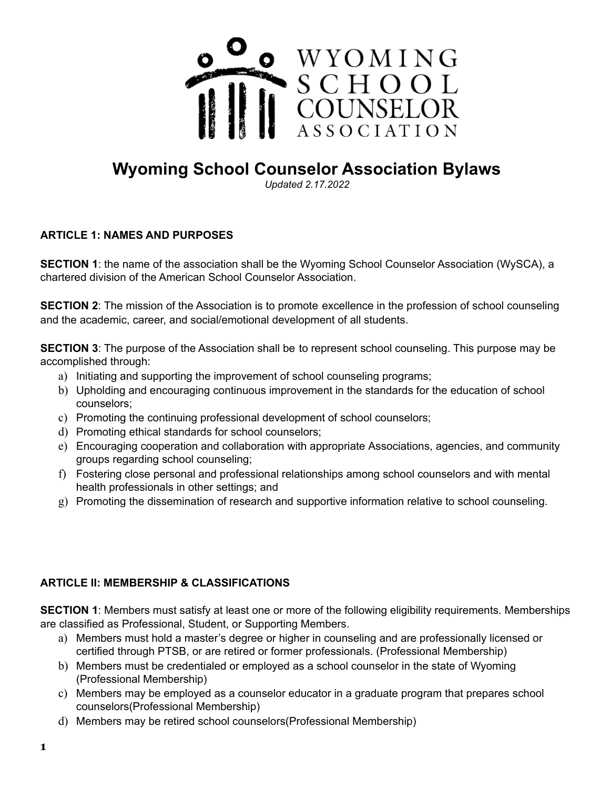

# **Wyoming School Counselor Association Bylaws**

*Updated 2.17.2022*

# **ARTICLE 1: NAMES AND PURPOSES**

**SECTION 1**: the name of the association shall be the Wyoming School Counselor Association (WySCA), a chartered division of the American School Counselor Association.

**SECTION** 2: The mission of the Association is to promote excellence in the profession of school counseling and the academic, career, and social/emotional development of all students.

**SECTION 3**: The purpose of the Association shall be to represent school counseling. This purpose may be accomplished through:

- a) Initiating and supporting the improvement of school counseling programs;
- b) Upholding and encouraging continuous improvement in the standards for the education of school counselors;
- c) Promoting the continuing professional development of school counselors;
- d) Promoting ethical standards for school counselors;
- e) Encouraging cooperation and collaboration with appropriate Associations, agencies, and community groups regarding school counseling;
- f) Fostering close personal and professional relationships among school counselors and with mental health professionals in other settings; and
- g) Promoting the dissemination of research and supportive information relative to school counseling.

# **ARTICLE II: MEMBERSHIP & CLASSIFICATIONS**

**SECTION 1**: Members must satisfy at least one or more of the following eligibility requirements. Memberships are classified as Professional, Student, or Supporting Members.

- a) Members must hold a master's degree or higher in counseling and are professionally licensed or certified through PTSB, or are retired or former professionals. (Professional Membership)
- b) Members must be credentialed or employed as a school counselor in the state of Wyoming (Professional Membership)
- c) Members may be employed as a counselor educator in a graduate program that prepares school counselors(Professional Membership)
- d) Members may be retired school counselors(Professional Membership)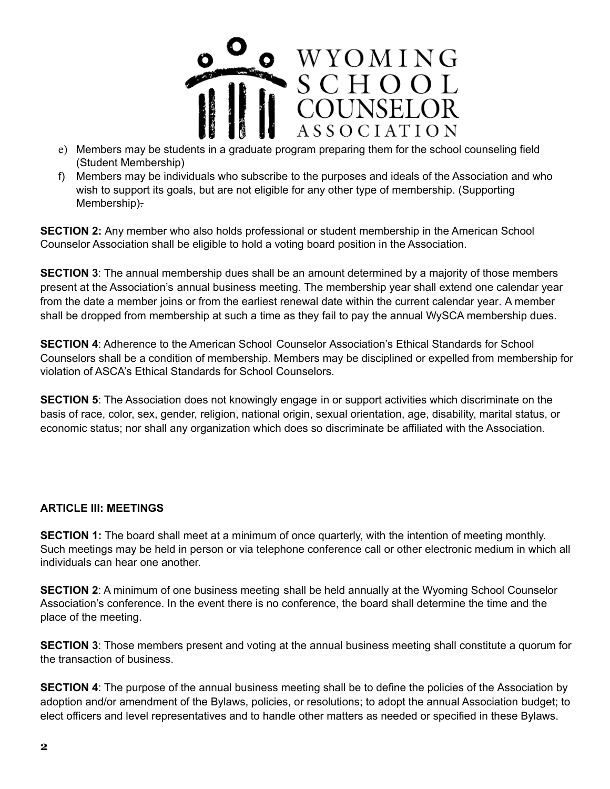

- e) Members may be students in a graduate program preparing them for the school counseling field (Student Membership)
- f) Members may be individuals who subscribe to the purposes and ideals of the Association and who wish to support its goals, but are not eligible for any other type of membership. (Supporting Membership)-

**SECTION 2:** Any member who also holds professional or student membership in the American School Counselor Association shall be eligible to hold a voting board position in the Association.

**SECTION 3**: The annual membership dues shall be an amount determined by a majority of those members present at the Association's annual business meeting. The membership year shall extend one calendar year from the date a member joins or from the earliest renewal date within the current calendar year. A member shall be dropped from membership at such a time as they fail to pay the annual WySCA membership dues.

**SECTION 4**: Adherence to the American School Counselor Association's Ethical Standards for School Counselors shall be a condition of membership. Members may be disciplined or expelled from membership for violation of ASCA's Ethical Standards for School Counselors.

**SECTION 5:** The Association does not knowingly engage in or support activities which discriminate on the basis of race, color, sex, gender, religion, national origin, sexual orientation, age, disability, marital status, or economic status; nor shall any organization which does so discriminate be affiliated with the Association.

#### **ARTICLE III: MEETINGS**

**SECTION 1:** The board shall meet at a minimum of once quarterly, with the intention of meeting monthly. Such meetings may be held in person or via telephone conference call or other electronic medium in which all individuals can hear one another.

**SECTION 2**: A minimum of one business meeting shall be held annually at the Wyoming School Counselor Association's conference. In the event there is no conference, the board shall determine the time and the place of the meeting.

**SECTION 3**: Those members present and voting at the annual business meeting shall constitute a quorum for the transaction of business.

**SECTION 4**: The purpose of the annual business meeting shall be to define the policies of the Association by adoption and/or amendment of the Bylaws, policies, or resolutions; to adopt the annual Association budget; to elect officers and level representatives and to handle other matters as needed or specified in these Bylaws.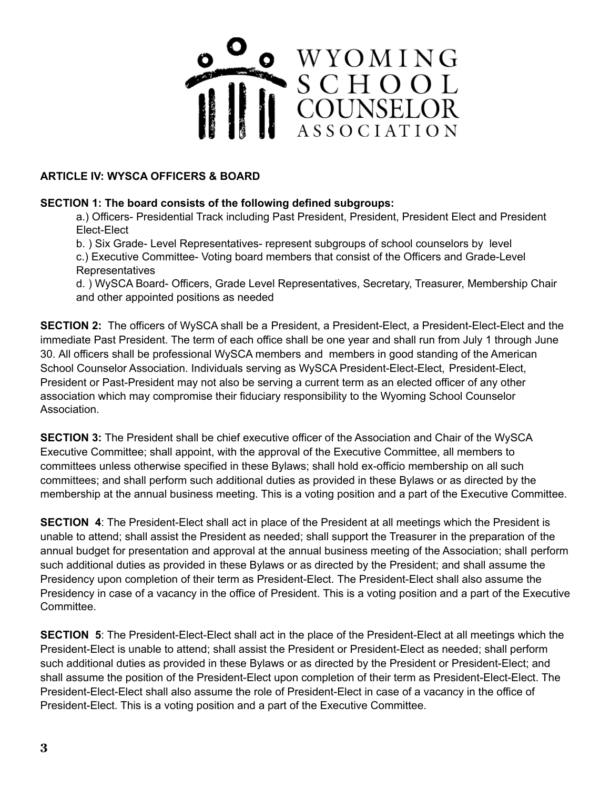

# **ARTICLE IV: WYSCA OFFICERS & BOARD**

# **SECTION 1: The board consists of the following defined subgroups:**

a.) Officers- Presidential Track including Past President, President, President Elect and President Elect-Elect

b. ) Six Grade- Level Representatives- represent subgroups of school counselors by level

c.) Executive Committee- Voting board members that consist of the Officers and Grade-Level **Representatives** 

d. ) WySCA Board- Officers, Grade Level Representatives, Secretary, Treasurer, Membership Chair and other appointed positions as needed

**SECTION 2:** The officers of WySCA shall be a President, a President-Elect, a President-Elect-Elect and the immediate Past President. The term of each office shall be one year and shall run from July 1 through June 30. All officers shall be professional WySCA members and members in good standing of the American School Counselor Association. Individuals serving as WySCA President-Elect-Elect, President-Elect, President or Past-President may not also be serving a current term as an elected officer of any other association which may compromise their fiduciary responsibility to the Wyoming School Counselor Association.

**SECTION 3:** The President shall be chief executive officer of the Association and Chair of the WySCA Executive Committee; shall appoint, with the approval of the Executive Committee, all members to committees unless otherwise specified in these Bylaws; shall hold ex-officio membership on all such committees; and shall perform such additional duties as provided in these Bylaws or as directed by the membership at the annual business meeting. This is a voting position and a part of the Executive Committee.

**SECTION 4**: The President-Elect shall act in place of the President at all meetings which the President is unable to attend; shall assist the President as needed; shall support the Treasurer in the preparation of the annual budget for presentation and approval at the annual business meeting of the Association; shall perform such additional duties as provided in these Bylaws or as directed by the President; and shall assume the Presidency upon completion of their term as President-Elect. The President-Elect shall also assume the Presidency in case of a vacancy in the office of President. This is a voting position and a part of the Executive Committee.

**SECTION 5**: The President-Elect-Elect shall act in the place of the President-Elect at all meetings which the President-Elect is unable to attend; shall assist the President or President-Elect as needed; shall perform such additional duties as provided in these Bylaws or as directed by the President or President-Elect; and shall assume the position of the President-Elect upon completion of their term as President-Elect-Elect. The President-Elect-Elect shall also assume the role of President-Elect in case of a vacancy in the office of President-Elect. This is a voting position and a part of the Executive Committee.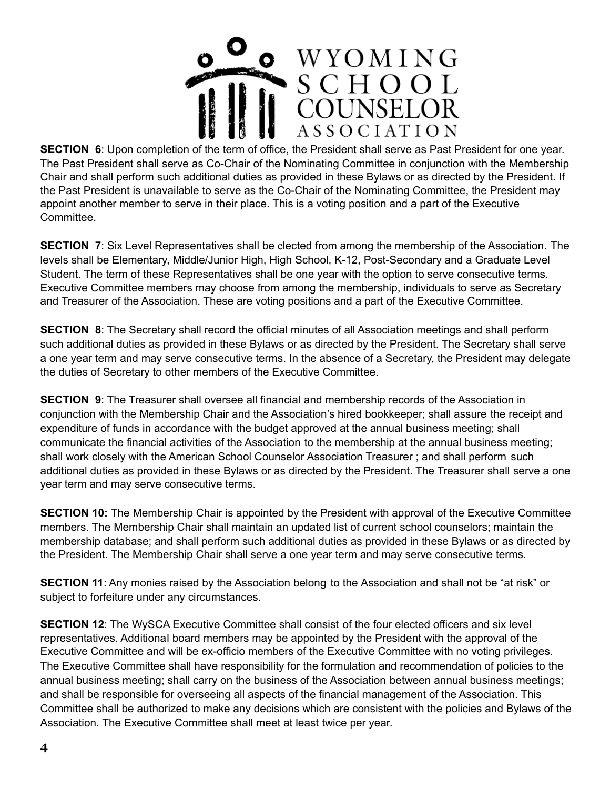

**SECTION 6**: Upon completion of the term of office, the President shall serve as Past President for one year. The Past President shall serve as Co-Chair of the Nominating Committee in conjunction with the Membership Chair and shall perform such additional duties as provided in these Bylaws or as directed by the President. If the Past President is unavailable to serve as the Co-Chair of the Nominating Committee, the President may appoint another member to serve in their place. This is a voting position and a part of the Executive Committee.

**SECTION 7**: Six Level Representatives shall be elected from among the membership of the Association. The levels shall be Elementary, Middle/Junior High, High School, K-12, Post-Secondary and a Graduate Level Student. The term of these Representatives shall be one year with the option to serve consecutive terms. Executive Committee members may choose from among the membership, individuals to serve as Secretary and Treasurer of the Association. These are voting positions and a part of the Executive Committee.

**SECTION 8**: The Secretary shall record the official minutes of all Association meetings and shall perform such additional duties as provided in these Bylaws or as directed by the President. The Secretary shall serve a one year term and may serve consecutive terms. In the absence of a Secretary, the President may delegate the duties of Secretary to other members of the Executive Committee.

**SECTION 9**: The Treasurer shall oversee all financial and membership records of the Association in conjunction with the Membership Chair and the Association's hired bookkeeper; shall assure the receipt and expenditure of funds in accordance with the budget approved at the annual business meeting; shall communicate the financial activities of the Association to the membership at the annual business meeting; shall work closely with the American School Counselor Association Treasurer ; and shall perform such additional duties as provided in these Bylaws or as directed by the President. The Treasurer shall serve a one year term and may serve consecutive terms.

**SECTION 10:** The Membership Chair is appointed by the President with approval of the Executive Committee members. The Membership Chair shall maintain an updated list of current school counselors; maintain the membership database; and shall perform such additional duties as provided in these Bylaws or as directed by the President. The Membership Chair shall serve a one year term and may serve consecutive terms.

**SECTION 11**: Any monies raised by the Association belong to the Association and shall not be "at risk" or subject to forfeiture under any circumstances.

**SECTION 12:** The WySCA Executive Committee shall consist of the four elected officers and six level representatives. Additional board members may be appointed by the President with the approval of the Executive Committee and will be ex-officio members of the Executive Committee with no voting privileges. The Executive Committee shall have responsibility for the formulation and recommendation of policies to the annual business meeting; shall carry on the business of the Association between annual business meetings; and shall be responsible for overseeing all aspects of the financial management of the Association. This Committee shall be authorized to make any decisions which are consistent with the policies and Bylaws of the Association. The Executive Committee shall meet at least twice per year.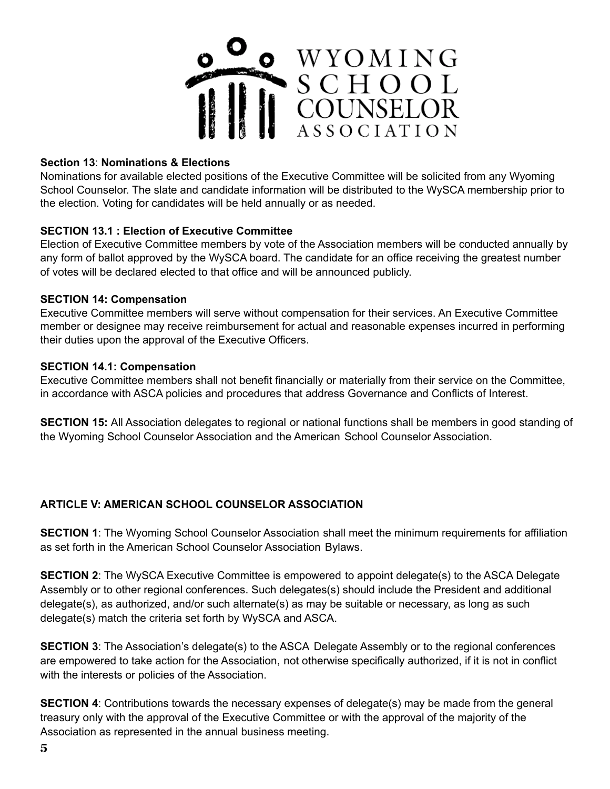

# **Section 13**: **Nominations & Elections**

Nominations for available elected positions of the Executive Committee will be solicited from any Wyoming School Counselor. The slate and candidate information will be distributed to the WySCA membership prior to the election. Voting for candidates will be held annually or as needed.

#### **SECTION 13.1 : Election of Executive Committee**

Election of Executive Committee members by vote of the Association members will be conducted annually by any form of ballot approved by the WySCA board. The candidate for an office receiving the greatest number of votes will be declared elected to that office and will be announced publicly.

#### **SECTION 14: Compensation**

Executive Committee members will serve without compensation for their services. An Executive Committee member or designee may receive reimbursement for actual and reasonable expenses incurred in performing their duties upon the approval of the Executive Officers.

# **SECTION 14.1: Compensation**

Executive Committee members shall not benefit financially or materially from their service on the Committee, in accordance with ASCA policies and procedures that address Governance and Conflicts of Interest.

**SECTION 15:** All Association delegates to regional or national functions shall be members in good standing of the Wyoming School Counselor Association and the American School Counselor Association.

# **ARTICLE V: AMERICAN SCHOOL COUNSELOR ASSOCIATION**

**SECTION 1**: The Wyoming School Counselor Association shall meet the minimum requirements for affiliation as set forth in the American School Counselor Association Bylaws.

**SECTION 2:** The WySCA Executive Committee is empowered to appoint delegate(s) to the ASCA Delegate Assembly or to other regional conferences. Such delegates(s) should include the President and additional delegate(s), as authorized, and/or such alternate(s) as may be suitable or necessary, as long as such delegate(s) match the criteria set forth by WySCA and ASCA.

**SECTION 3:** The Association's delegate(s) to the ASCA Delegate Assembly or to the regional conferences are empowered to take action for the Association, not otherwise specifically authorized, if it is not in conflict with the interests or policies of the Association.

**SECTION 4**: Contributions towards the necessary expenses of delegate(s) may be made from the general treasury only with the approval of the Executive Committee or with the approval of the majority of the Association as represented in the annual business meeting.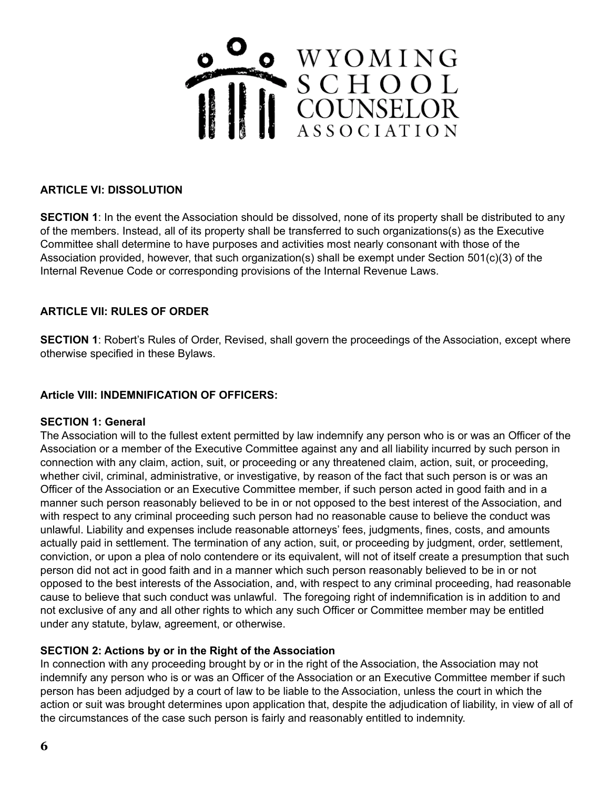

# **ARTICLE VI: DISSOLUTION**

**SECTION 1**: In the event the Association should be dissolved, none of its property shall be distributed to any of the members. Instead, all of its property shall be transferred to such organizations(s) as the Executive Committee shall determine to have purposes and activities most nearly consonant with those of the Association provided, however, that such organization(s) shall be exempt under Section 501(c)(3) of the Internal Revenue Code or corresponding provisions of the Internal Revenue Laws.

# **ARTICLE VII: RULES OF ORDER**

**SECTION 1:** Robert's Rules of Order, Revised, shall govern the proceedings of the Association, except where otherwise specified in these Bylaws.

#### **Article VIII: INDEMNIFICATION OF OFFICERS:**

#### **SECTION 1: General**

The Association will to the fullest extent permitted by law indemnify any person who is or was an Officer of the Association or a member of the Executive Committee against any and all liability incurred by such person in connection with any claim, action, suit, or proceeding or any threatened claim, action, suit, or proceeding, whether civil, criminal, administrative, or investigative, by reason of the fact that such person is or was an Officer of the Association or an Executive Committee member, if such person acted in good faith and in a manner such person reasonably believed to be in or not opposed to the best interest of the Association, and with respect to any criminal proceeding such person had no reasonable cause to believe the conduct was unlawful. Liability and expenses include reasonable attorneys' fees, judgments, fines, costs, and amounts actually paid in settlement. The termination of any action, suit, or proceeding by judgment, order, settlement, conviction, or upon a plea of nolo contendere or its equivalent, will not of itself create a presumption that such person did not act in good faith and in a manner which such person reasonably believed to be in or not opposed to the best interests of the Association, and, with respect to any criminal proceeding, had reasonable cause to believe that such conduct was unlawful. The foregoing right of indemnification is in addition to and not exclusive of any and all other rights to which any such Officer or Committee member may be entitled under any statute, bylaw, agreement, or otherwise.

#### **SECTION 2: Actions by or in the Right of the Association**

In connection with any proceeding brought by or in the right of the Association, the Association may not indemnify any person who is or was an Officer of the Association or an Executive Committee member if such person has been adjudged by a court of law to be liable to the Association, unless the court in which the action or suit was brought determines upon application that, despite the adjudication of liability, in view of all of the circumstances of the case such person is fairly and reasonably entitled to indemnity.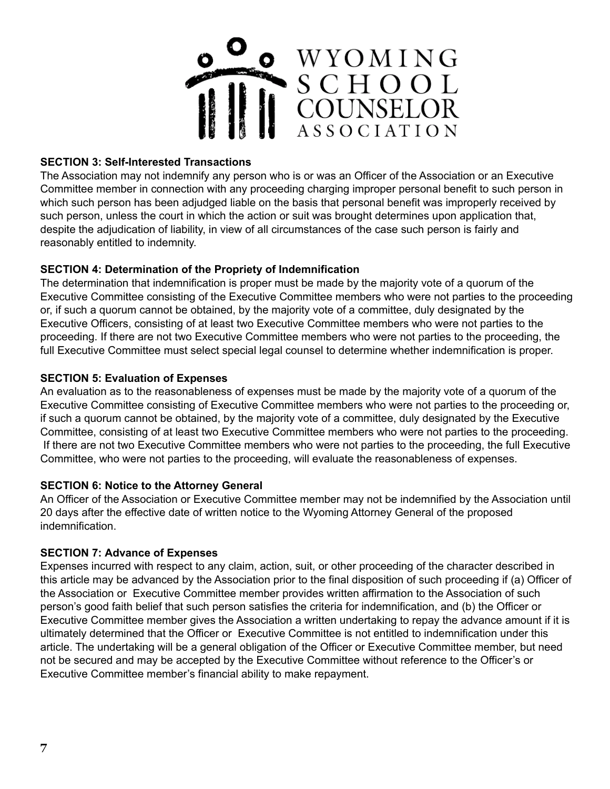

# **SECTION 3: Self-Interested Transactions**

The Association may not indemnify any person who is or was an Officer of the Association or an Executive Committee member in connection with any proceeding charging improper personal benefit to such person in which such person has been adjudged liable on the basis that personal benefit was improperly received by such person, unless the court in which the action or suit was brought determines upon application that, despite the adjudication of liability, in view of all circumstances of the case such person is fairly and reasonably entitled to indemnity.

# **SECTION 4: Determination of the Propriety of Indemnification**

The determination that indemnification is proper must be made by the majority vote of a quorum of the Executive Committee consisting of the Executive Committee members who were not parties to the proceeding or, if such a quorum cannot be obtained, by the majority vote of a committee, duly designated by the Executive Officers, consisting of at least two Executive Committee members who were not parties to the proceeding. If there are not two Executive Committee members who were not parties to the proceeding, the full Executive Committee must select special legal counsel to determine whether indemnification is proper.

# **SECTION 5: Evaluation of Expenses**

An evaluation as to the reasonableness of expenses must be made by the majority vote of a quorum of the Executive Committee consisting of Executive Committee members who were not parties to the proceeding or, if such a quorum cannot be obtained, by the majority vote of a committee, duly designated by the Executive Committee, consisting of at least two Executive Committee members who were not parties to the proceeding. If there are not two Executive Committee members who were not parties to the proceeding, the full Executive Committee, who were not parties to the proceeding, will evaluate the reasonableness of expenses.

#### **SECTION 6: Notice to the Attorney General**

An Officer of the Association or Executive Committee member may not be indemnified by the Association until 20 days after the effective date of written notice to the Wyoming Attorney General of the proposed indemnification.

#### **SECTION 7: Advance of Expenses**

Expenses incurred with respect to any claim, action, suit, or other proceeding of the character described in this article may be advanced by the Association prior to the final disposition of such proceeding if (a) Officer of the Association or Executive Committee member provides written affirmation to the Association of such person's good faith belief that such person satisfies the criteria for indemnification, and (b) the Officer or Executive Committee member gives the Association a written undertaking to repay the advance amount if it is ultimately determined that the Officer or Executive Committee is not entitled to indemnification under this article. The undertaking will be a general obligation of the Officer or Executive Committee member, but need not be secured and may be accepted by the Executive Committee without reference to the Officer's or Executive Committee member's financial ability to make repayment.